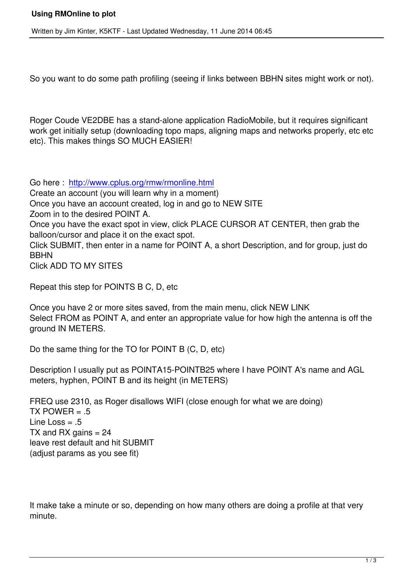So you want to do some path profiling (seeing if links between BBHN sites might work or not).

Roger Coude VE2DBE has a stand-alone application RadioMobile, but it requires significant work get initially setup (downloading topo maps, aligning maps and networks properly, etc etc etc). This makes things SO MUCH EASIER!

Go here : http://www.cplus.org/rmw/rmonline.html

Create an account (you will learn why in a moment)

Once you have an account created, log in and go to NEW SITE

Zoom in t[o the desired POINT A.](http://www.cplus.org/rmw/rmonline.html)

Once you have the exact spot in view, click PLACE CURSOR AT CENTER, then grab the balloon/cursor and place it on the exact spot.

Click SUBMIT, then enter in a name for POINT A, a short Description, and for group, just do BBHN

Click ADD TO MY SITES

Repeat this step for POINTS B C, D, etc

Once you have 2 or more sites saved, from the main menu, click NEW LINK Select FROM as POINT A, and enter an appropriate value for how high the antenna is off the ground IN METERS.

Do the same thing for the TO for POINT B (C, D, etc)

Description I usually put as POINTA15-POINTB25 where I have POINT A's name and AGL meters, hyphen, POINT B and its height (in METERS)

FREQ use 2310, as Roger disallows WIFI (close enough for what we are doing) TX POWER  $= .5$ Line Loss  $= .5$ TX and RX gains  $= 24$ leave rest default and hit SUBMIT (adjust params as you see fit)

It make take a minute or so, depending on how many others are doing a profile at that very minute.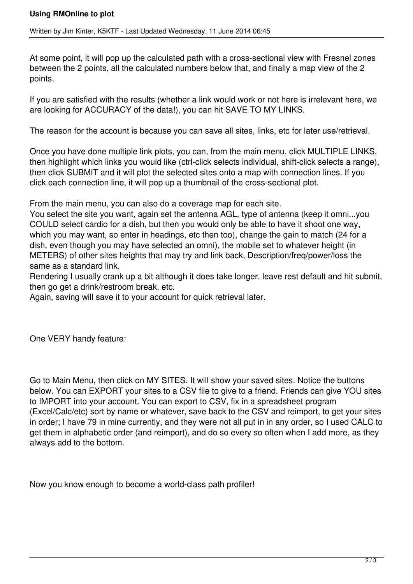At some point, it will pop up the calculated path with a cross-sectional view with Fresnel zones between the 2 points, all the calculated numbers below that, and finally a map view of the 2 points.

If you are satisfied with the results (whether a link would work or not here is irrelevant here, we are looking for ACCURACY of the data!), you can hit SAVE TO MY LINKS.

The reason for the account is because you can save all sites, links, etc for later use/retrieval.

Once you have done multiple link plots, you can, from the main menu, click MULTIPLE LINKS, then highlight which links you would like (ctrl-click selects individual, shift-click selects a range), then click SUBMIT and it will plot the selected sites onto a map with connection lines. If you click each connection line, it will pop up a thumbnail of the cross-sectional plot.

From the main menu, you can also do a coverage map for each site.

You select the site you want, again set the antenna AGL, type of antenna (keep it omni...you COULD select cardio for a dish, but then you would only be able to have it shoot one way, which you may want, so enter in headings, etc then too), change the gain to match (24 for a dish, even though you may have selected an omni), the mobile set to whatever height (in METERS) of other sites heights that may try and link back, Description/freq/power/loss the same as a standard link.

Rendering I usually crank up a bit although it does take longer, leave rest default and hit submit, then go get a drink/restroom break, etc.

Again, saving will save it to your account for quick retrieval later.

One VERY handy feature:

Go to Main Menu, then click on MY SITES. It will show your saved sites. Notice the buttons below. You can EXPORT your sites to a CSV file to give to a friend. Friends can give YOU sites to IMPORT into your account. You can export to CSV, fix in a spreadsheet program (Excel/Calc/etc) sort by name or whatever, save back to the CSV and reimport, to get your sites in order; I have 79 in mine currently, and they were not all put in in any order, so I used CALC to get them in alphabetic order (and reimport), and do so every so often when I add more, as they always add to the bottom.

Now you know enough to become a world-class path profiler!